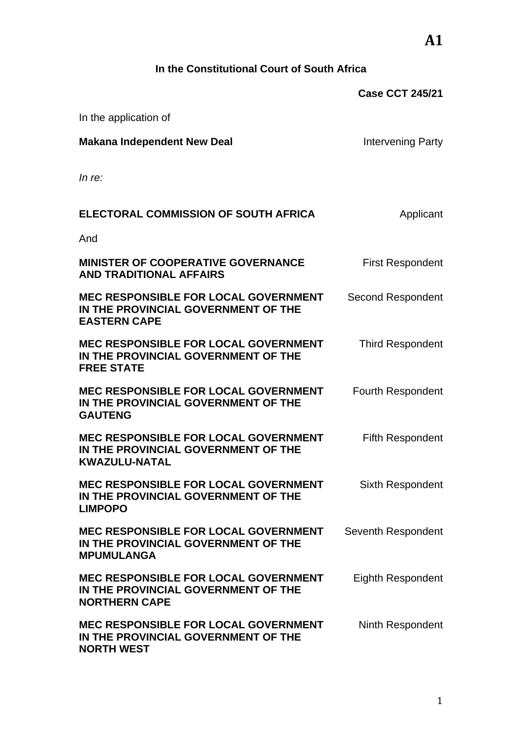# **In the Constitutional Court of South Africa**

|                                                                                                            | <b>Case CCT 245/21</b>   |
|------------------------------------------------------------------------------------------------------------|--------------------------|
| In the application of                                                                                      |                          |
| <b>Makana Independent New Deal</b>                                                                         | Intervening Party        |
| In re:                                                                                                     |                          |
| ELECTORAL COMMISSION OF SOUTH AFRICA                                                                       | Applicant                |
| And                                                                                                        |                          |
| <b>MINISTER OF COOPERATIVE GOVERNANCE</b><br><b>AND TRADITIONAL AFFAIRS</b>                                | <b>First Respondent</b>  |
| <b>MEC RESPONSIBLE FOR LOCAL GOVERNMENT</b><br>IN THE PROVINCIAL GOVERNMENT OF THE<br><b>EASTERN CAPE</b>  | Second Respondent        |
| MEC RESPONSIBLE FOR LOCAL GOVERNMENT<br>IN THE PROVINCIAL GOVERNMENT OF THE<br><b>FREE STATE</b>           | <b>Third Respondent</b>  |
| <b>MEC RESPONSIBLE FOR LOCAL GOVERNMENT</b><br>IN THE PROVINCIAL GOVERNMENT OF THE<br><b>GAUTENG</b>       | <b>Fourth Respondent</b> |
| <b>MEC RESPONSIBLE FOR LOCAL GOVERNMENT</b><br>IN THE PROVINCIAL GOVERNMENT OF THE<br><b>KWAZULU-NATAL</b> | Fifth Respondent         |
| <b>MEC RESPONSIBLE FOR LOCAL GOVERNMENT</b><br>IN THE PROVINCIAL GOVERNMENT OF THE<br><b>LIMPOPO</b>       | Sixth Respondent         |
| <b>MEC RESPONSIBLE FOR LOCAL GOVERNMENT</b><br>IN THE PROVINCIAL GOVERNMENT OF THE<br><b>MPUMULANGA</b>    | Seventh Respondent       |
| <b>MEC RESPONSIBLE FOR LOCAL GOVERNMENT</b><br>IN THE PROVINCIAL GOVERNMENT OF THE<br><b>NORTHERN CAPE</b> | <b>Eighth Respondent</b> |
| <b>MEC RESPONSIBLE FOR LOCAL GOVERNMENT</b><br>IN THE PROVINCIAL GOVERNMENT OF THE<br><b>NORTH WEST</b>    | Ninth Respondent         |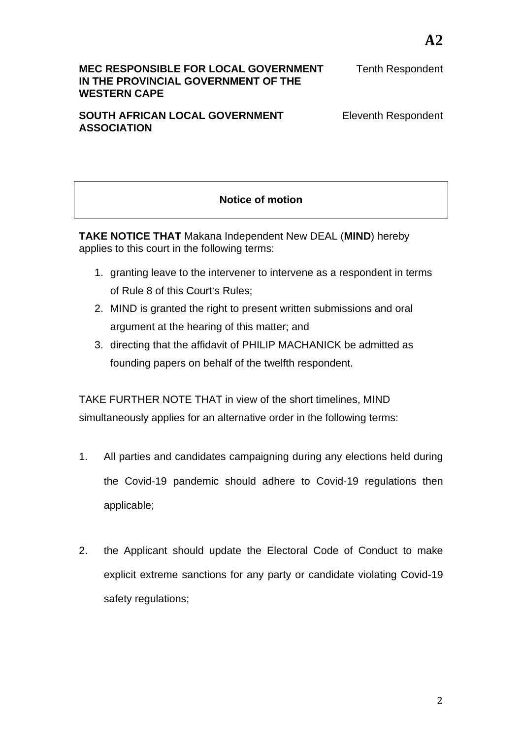#### **MEC RESPONSIBLE FOR LOCAL GOVERNMENT IN THE PROVINCIAL GOVERNMENT OF THE WESTERN CAPE**

Tenth Respondent

#### **SOUTH AFRICAN LOCAL GOVERNMENT ASSOCIATION**

Eleventh Respondent

# **Notice of motion**

**TAKE NOTICE THAT** Makana Independent New DEAL (**MIND**) hereby applies to this court in the following terms:

- 1. granting leave to the intervener to intervene as a respondent in terms of Rule 8 of this Court's Rules;
- 2. MIND is granted the right to present written submissions and oral argument at the hearing of this matter; and
- 3. directing that the affidavit of PHILIP MACHANICK be admitted as founding papers on behalf of the twelfth respondent.

TAKE FURTHER NOTE THAT in view of the short timelines, MIND simultaneously applies for an alternative order in the following terms:

- 1. All parties and candidates campaigning during any elections held during the Covid-19 pandemic should adhere to Covid-19 regulations then applicable;
- 2. the Applicant should update the Electoral Code of Conduct to make explicit extreme sanctions for any party or candidate violating Covid-19 safety regulations;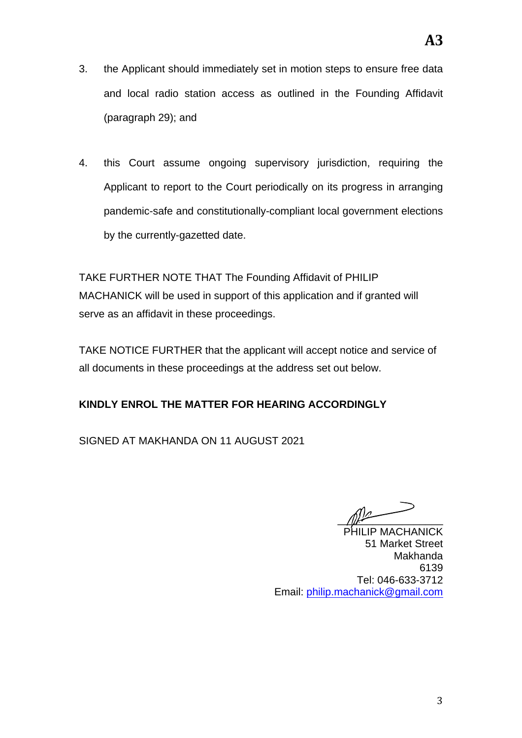- 3. the Applicant should immediately set in motion steps to ensure free data and local radio station access as outlined in the Founding Affidavit (paragraph 29); and
- 4. this Court assume ongoing supervisory jurisdiction, requiring the Applicant to report to the Court periodically on its progress in arranging pandemic-safe and constitutionally-compliant local government elections by the currently-gazetted date.

TAKE FURTHER NOTE THAT The Founding Affidavit of PHILIP MACHANICK will be used in support of this application and if granted will serve as an affidavit in these proceedings.

TAKE NOTICE FURTHER that the applicant will accept notice and service of all documents in these proceedings at the address set out below.

## **KINDLY ENROL THE MATTER FOR HEARING ACCORDINGLY**

SIGNED AT MAKHANDA ON 11 AUGUST 2021

 $\sqrt{2}$ 

PHILIP MACHANICK 51 Market Street Makhanda 6139 Tel: 046-633-3712 Email: philip.machanick@gmail.com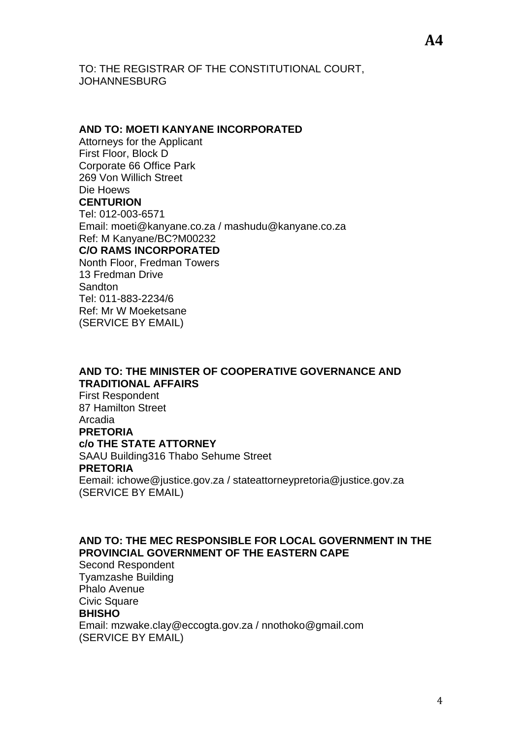TO: THE REGISTRAR OF THE CONSTITUTIONAL COURT, JOHANNESBURG

#### **AND TO: MOETI KANYANE INCORPORATED**

Attorneys for the Applicant First Floor, Block D Corporate 66 Office Park 269 Von Willich Street Die Hoews **CENTURION** Tel: 012-003-6571 Email: moeti@kanyane.co.za / mashudu@kanyane.co.za Ref: M Kanyane/BC?M00232 **C/O RAMS INCORPORATED** Nonth Floor, Fredman Towers 13 Fredman Drive

Sandton Tel: 011-883-2234/6 Ref: Mr W Moeketsane (SERVICE BY EMAIL)

## **AND TO: THE MINISTER OF COOPERATIVE GOVERNANCE AND TRADITIONAL AFFAIRS**

First Respondent 87 Hamilton Street Arcadia **PRETORIA c/o THE STATE ATTORNEY** SAAU Building316 Thabo Sehume Street **PRETORIA** Eemail: ichowe@justice.gov.za / stateattorneypretoria@justice.gov.za

(SERVICE BY EMAIL)

**AND TO: THE MEC RESPONSIBLE FOR LOCAL GOVERNMENT IN THE PROVINCIAL GOVERNMENT OF THE EASTERN CAPE**

Second Respondent Tyamzashe Building Phalo Avenue Civic Square **BHISHO** Email: mzwake.clay@eccogta.gov.za / nnothoko@gmail.com (SERVICE BY EMAIL)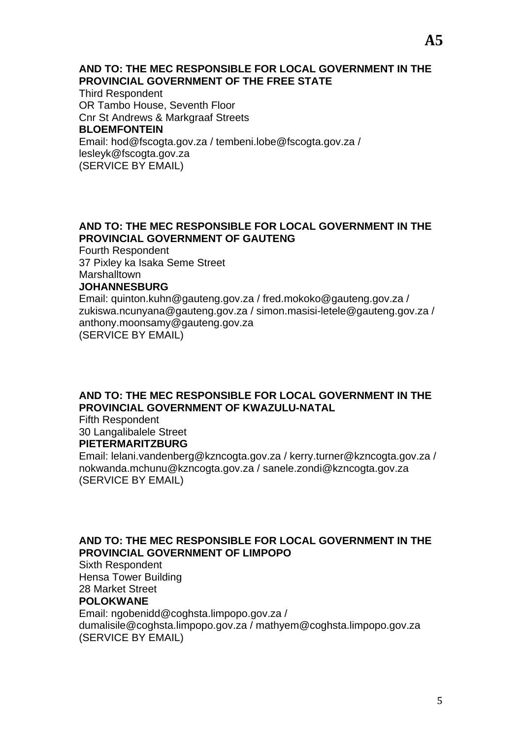#### **AND TO: THE MEC RESPONSIBLE FOR LOCAL GOVERNMENT IN THE PROVINCIAL GOVERNMENT OF THE FREE STATE**

Third Respondent OR Tambo House, Seventh Floor Cnr St Andrews & Markgraaf Streets **BLOEMFONTEIN** Email: hod@fscogta.gov.za / tembeni.lobe@fscogta.gov.za / lesleyk@fscogta.gov.za (SERVICE BY EMAIL)

#### **AND TO: THE MEC RESPONSIBLE FOR LOCAL GOVERNMENT IN THE PROVINCIAL GOVERNMENT OF GAUTENG**

Fourth Respondent 37 Pixley ka Isaka Seme Street **Marshalltown** 

#### **JOHANNESBURG**

Email: quinton.kuhn@gauteng.gov.za / fred.mokoko@gauteng.gov.za / zukiswa.ncunyana@gauteng.gov.za / simon.masisi-letele@gauteng.gov.za / anthony.moonsamy@gauteng.gov.za (SERVICE BY EMAIL)

#### **AND TO: THE MEC RESPONSIBLE FOR LOCAL GOVERNMENT IN THE PROVINCIAL GOVERNMENT OF KWAZULU-NATAL**

Fifth Respondent 30 Langalibalele Street **PIETERMARITZBURG**

Email: lelani.vandenberg@kzncogta.gov.za / kerry.turner@kzncogta.gov.za / nokwanda.mchunu@kzncogta.gov.za / sanele.zondi@kzncogta.gov.za (SERVICE BY EMAIL)

### **AND TO: THE MEC RESPONSIBLE FOR LOCAL GOVERNMENT IN THE PROVINCIAL GOVERNMENT OF LIMPOPO**

Sixth Respondent Hensa Tower Building 28 Market Street

#### **POLOKWANE**

Email: ngobenidd@coghsta.limpopo.gov.za / dumalisile@coghsta.limpopo.gov.za / mathyem@coghsta.limpopo.gov.za (SERVICE BY EMAIL)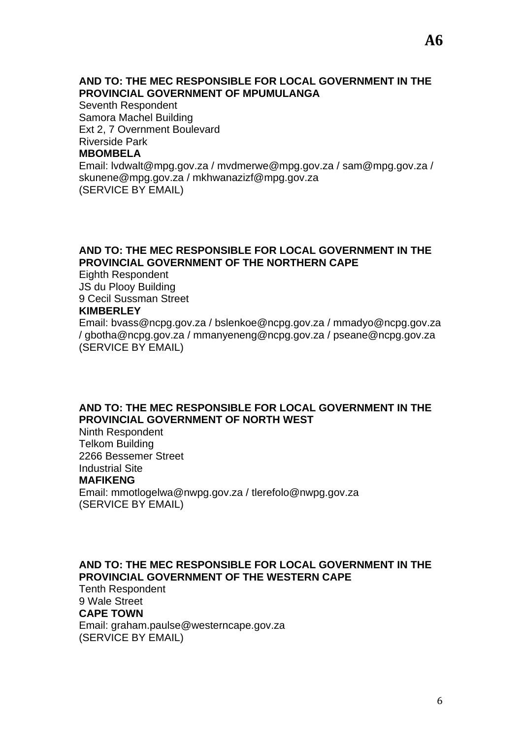#### **AND TO: THE MEC RESPONSIBLE FOR LOCAL GOVERNMENT IN THE PROVINCIAL GOVERNMENT OF MPUMULANGA**

Seventh Respondent Samora Machel Building Ext 2, 7 Overnment Boulevard Riverside Park **MBOMBELA**

Email: lvdwalt@mpg.gov.za / mvdmerwe@mpg.gov.za / sam@mpg.gov.za / skunene@mpg.gov.za / mkhwanazizf@mpg.gov.za (SERVICE BY EMAIL)

### **AND TO: THE MEC RESPONSIBLE FOR LOCAL GOVERNMENT IN THE PROVINCIAL GOVERNMENT OF THE NORTHERN CAPE**

Eighth Respondent JS du Plooy Building 9 Cecil Sussman Street **KIMBERLEY**

Email: bvass@ncpg.gov.za / bslenkoe@ncpg.gov.za / mmadyo@ncpg.gov.za / gbotha@ncpg.gov.za / mmanyeneng@ncpg.gov.za / pseane@ncpg.gov.za (SERVICE BY EMAIL)

#### **AND TO: THE MEC RESPONSIBLE FOR LOCAL GOVERNMENT IN THE PROVINCIAL GOVERNMENT OF NORTH WEST**

Ninth Respondent Telkom Building 2266 Bessemer Street Industrial Site **MAFIKENG** Email: mmotlogelwa@nwpg.gov.za / tlerefolo@nwpg.gov.za (SERVICE BY EMAIL)

#### **AND TO: THE MEC RESPONSIBLE FOR LOCAL GOVERNMENT IN THE PROVINCIAL GOVERNMENT OF THE WESTERN CAPE**

Tenth Respondent 9 Wale Street **CAPE TOWN** Email: graham.paulse@westerncape.gov.za (SERVICE BY EMAIL)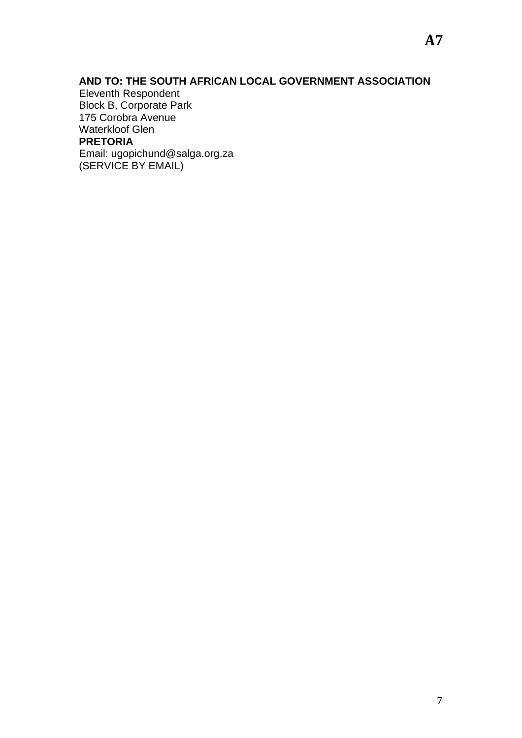### **AND TO: THE SOUTH AFRICAN LOCAL GOVERNMENT ASSOCIATION**

Eleventh Respondent Block B, Corporate Park 175 Corobra Avenue Waterkloof Glen **PRETORIA** Email: ugopichund@salga.org.za (SERVICE BY EMAIL)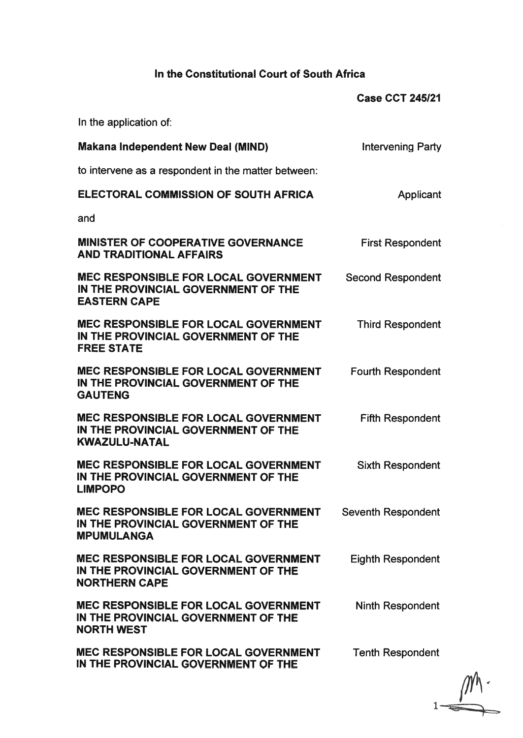# In the Constitutional Court of South Africa

|                                                                                                            | <b>Case CCT 245/21</b>   |
|------------------------------------------------------------------------------------------------------------|--------------------------|
| In the application of:                                                                                     |                          |
| <b>Makana Independent New Deal (MIND)</b>                                                                  | <b>Intervening Party</b> |
| to intervene as a respondent in the matter between:                                                        |                          |
| <b>ELECTORAL COMMISSION OF SOUTH AFRICA</b>                                                                | Applicant                |
| and                                                                                                        |                          |
| <b>MINISTER OF COOPERATIVE GOVERNANCE</b><br><b>AND TRADITIONAL AFFAIRS</b>                                | <b>First Respondent</b>  |
| <b>MEC RESPONSIBLE FOR LOCAL GOVERNMENT</b><br>IN THE PROVINCIAL GOVERNMENT OF THE<br><b>EASTERN CAPE</b>  | <b>Second Respondent</b> |
| <b>MEC RESPONSIBLE FOR LOCAL GOVERNMENT</b><br>IN THE PROVINCIAL GOVERNMENT OF THE<br><b>FREE STATE</b>    | <b>Third Respondent</b>  |
| <b>MEC RESPONSIBLE FOR LOCAL GOVERNMENT</b><br>IN THE PROVINCIAL GOVERNMENT OF THE<br><b>GAUTENG</b>       | <b>Fourth Respondent</b> |
| <b>MEC RESPONSIBLE FOR LOCAL GOVERNMENT</b><br>IN THE PROVINCIAL GOVERNMENT OF THE<br><b>KWAZULU-NATAL</b> | <b>Fifth Respondent</b>  |
| <b>MEC RESPONSIBLE FOR LOCAL GOVERNMENT</b><br>IN THE PROVINCIAL GOVERNMENT OF THE<br><b>LIMPOPO</b>       | <b>Sixth Respondent</b>  |
| <b>MEC RESPONSIBLE FOR LOCAL GOVERNMENT</b><br>IN THE PROVINCIAL GOVERNMENT OF THE<br><b>MPUMULANGA</b>    | Seventh Respondent       |
| <b>MEC RESPONSIBLE FOR LOCAL GOVERNMENT</b><br>IN THE PROVINCIAL GOVERNMENT OF THE<br><b>NORTHERN CAPE</b> | <b>Eighth Respondent</b> |
| <b>MEC RESPONSIBLE FOR LOCAL GOVERNMENT</b><br>IN THE PROVINCIAL GOVERNMENT OF THE<br><b>NORTH WEST</b>    | <b>Ninth Respondent</b>  |
| <b>MEC RESPONSIBLE FOR LOCAL GOVERNMENT</b><br>IN THE PROVINCIAL GOVERNMENT OF THE                         | <b>Tenth Respondent</b>  |

 $1 \longrightarrow 1$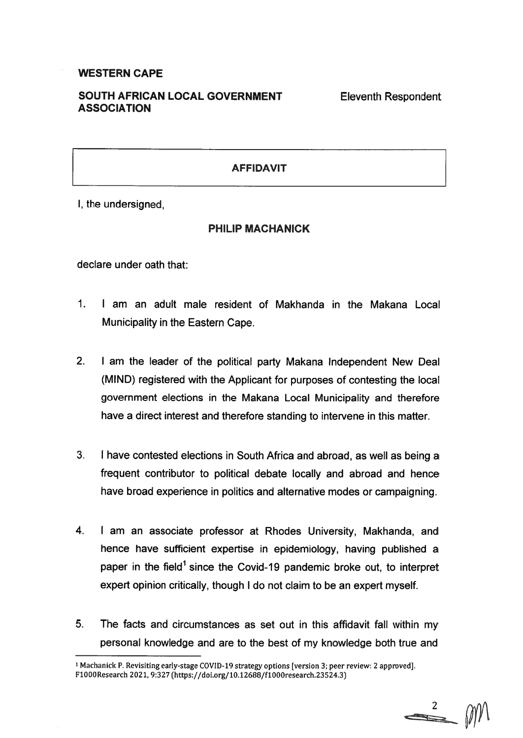#### **WESTERN CAPE**

#### SOUTH AFRICAN LOCAL GOVERNMENT **ASSOCIATION**

**Eleventh Respondent** 

#### **AFFIDAVIT**

I, the undersigned,

#### **PHILIP MACHANICK**

declare under oath that:

- $\mathbf{1}$ I am an adult male resident of Makhanda in the Makana Local Municipality in the Eastern Cape.
- $2<sub>1</sub>$ I am the leader of the political party Makana Independent New Deal (MIND) registered with the Applicant for purposes of contesting the local government elections in the Makana Local Municipality and therefore have a direct interest and therefore standing to intervene in this matter.
- $3.$ I have contested elections in South Africa and abroad, as well as being a frequent contributor to political debate locally and abroad and hence have broad experience in politics and alternative modes or campaigning.
- $4.$ I am an associate professor at Rhodes University, Makhanda, and hence have sufficient expertise in epidemiology, having published a paper in the field<sup>1</sup> since the Covid-19 pandemic broke out, to interpret expert opinion critically, though I do not claim to be an expert myself.
- $5<sub>1</sub>$ The facts and circumstances as set out in this affidavit fall within my personal knowledge and are to the best of my knowledge both true and

<sup>&</sup>lt;sup>1</sup> Machanick P. Revisiting early-stage COVID-19 strategy options [version 3; peer review: 2 approved]. F1000Research 2021, 9:327 (https://doi.org/10.12688/f1000research.23524.3)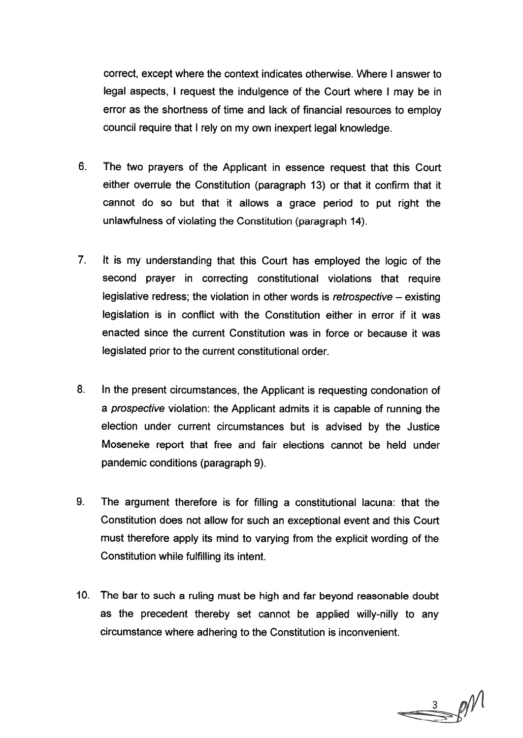correct, except where the context indicates otherwise. Where I answer to legal aspects, I request the indulgence of the Court where I may be in error as the shortness of time and lack of financial resources to employ council require that I rely on my own inexpert legal knowledge.

- $6.$ The two prayers of the Applicant in essence request that this Court either overrule the Constitution (paragraph 13) or that it confirm that it cannot do so but that it allows a grace period to put right the unlawfulness of violating the Constitution (paragraph 14).
- $7<sub>1</sub>$ It is my understanding that this Court has employed the logic of the second prayer in correcting constitutional violations that require legislative redress; the violation in other words is retrospective  $-$  existing legislation is in conflict with the Constitution either in error if it was enacted since the current Constitution was in force or because it was legislated prior to the current constitutional order.
- $8<sub>1</sub>$ In the present circumstances, the Applicant is requesting condonation of a prospective violation: the Applicant admits it is capable of running the election under current circumstances but is advised by the Justice Moseneke report that free and fair elections cannot be held under pandemic conditions (paragraph 9).
- $9<sub>1</sub>$ The argument therefore is for filling a constitutional lacuna: that the Constitution does not allow for such an exceptional event and this Court must therefore apply its mind to varying from the explicit wording of the Constitution while fulfilling its intent.
- 10. The bar to such a ruling must be high and far beyond reasonable doubt as the precedent thereby set cannot be applied willy-nilly to any circumstance where adhering to the Constitution is inconvenient.

 $\Rightarrow$   $\frac{3}{2}$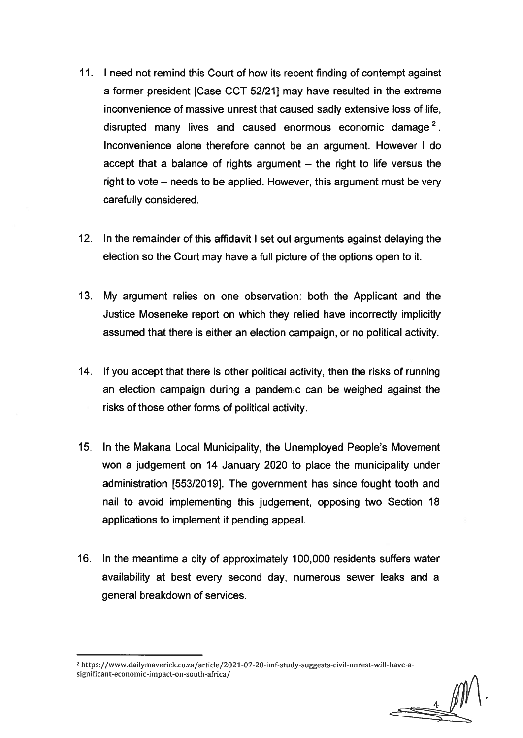- 11. I need not remind this Court of how its recent finding of contempt against a former president [Case CCT 52/21] may have resulted in the extreme inconvenience of massive unrest that caused sadly extensive loss of life, disrupted many lives and caused enormous economic damage<sup>2</sup>. Inconvenience alone therefore cannot be an argument. However I do accept that a balance of rights argument – the right to life versus the right to vote – needs to be applied. However, this argument must be very carefully considered.
- $12.$ In the remainder of this affidavit I set out arguments against delaying the election so the Court may have a full picture of the options open to it.
- 13. My argument relies on one observation: both the Applicant and the Justice Moseneke report on which they relied have incorrectly implicitly assumed that there is either an election campaign, or no political activity.
- 14. If you accept that there is other political activity, then the risks of running an election campaign during a pandemic can be weighed against the risks of those other forms of political activity.
- 15. In the Makana Local Municipality, the Unemployed People's Movement won a judgement on 14 January 2020 to place the municipality under administration [553/2019]. The government has since fought tooth and nail to avoid implementing this judgement, opposing two Section 18 applications to implement it pending appeal.
- 16. In the meantime a city of approximately 100,000 residents suffers water availability at best every second day, numerous sewer leaks and a general breakdown of services.

<sup>&</sup>lt;sup>2</sup> https://www.dailymaverick.co.za/article/2021-07-20-imf-study-suggests-civil-unrest-will-have-asignificant-economic-impact-on-south-africa/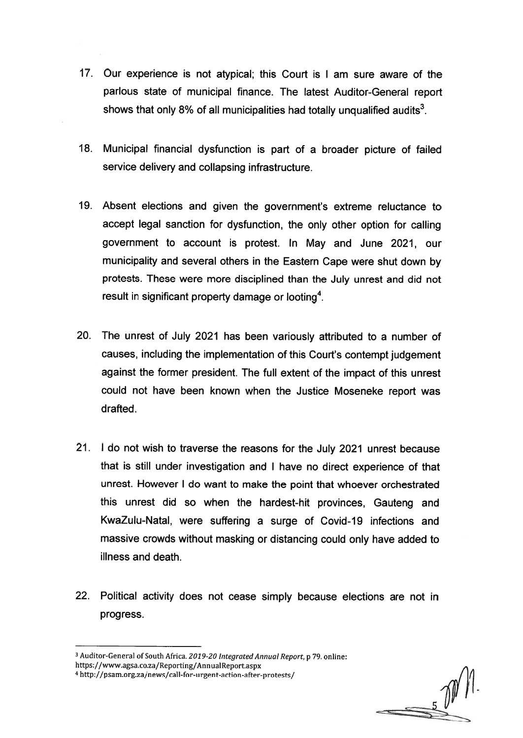- 17. Our experience is not atypical; this Court is I am sure aware of the parlous state of municipal finance. The latest Auditor-General report shows that only 8% of all municipalities had totally unqualified audits<sup>3</sup>.
- 18. Municipal financial dysfunction is part of a broader picture of failed service delivery and collapsing infrastructure.
- 19. Absent elections and given the government's extreme reluctance to accept legal sanction for dysfunction, the only other option for calling government to account is protest. In May and June 2021, our municipality and several others in the Eastern Cape were shut down by protests. These were more disciplined than the July unrest and did not result in significant property damage or looting<sup>4</sup>.
- 20. The unrest of July 2021 has been variously attributed to a number of causes, including the implementation of this Court's contempt judgement against the former president. The full extent of the impact of this unrest could not have been known when the Justice Moseneke report was drafted.
- 21. I do not wish to traverse the reasons for the July 2021 unrest because that is still under investigation and I have no direct experience of that unrest. However I do want to make the point that whoever orchestrated this unrest did so when the hardest-hit provinces, Gauteng and KwaZulu-Natal, were suffering a surge of Covid-19 infections and massive crowds without masking or distancing could only have added to illness and death.
- 22. Political activity does not cease simply because elections are not in progress.

<sup>&</sup>lt;sup>3</sup> Auditor-General of South Africa. 2019-20 Integrated Annual Report, p 79. online:

https://www.agsa.co.za/Reporting/AnnualReport.aspx

<sup>4</sup> http://psam.org.za/news/call-for-urgent-action-after-protests/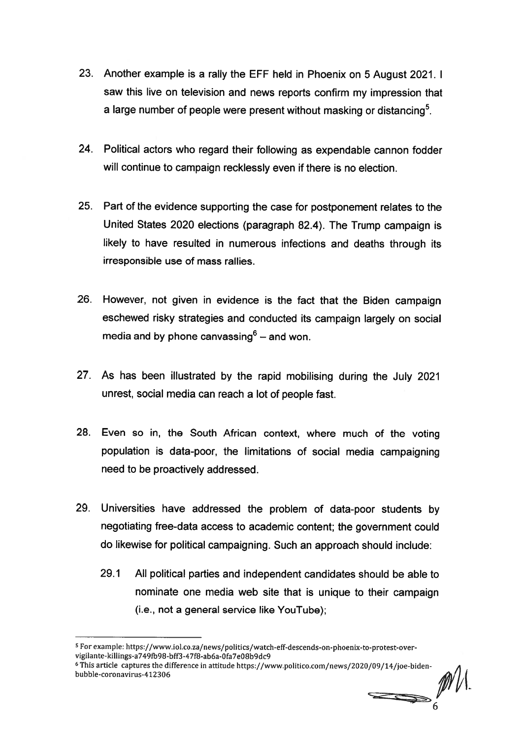- 23. Another example is a rally the EFF held in Phoenix on 5 August 2021. I saw this live on television and news reports confirm my impression that a large number of people were present without masking or distancing<sup>5</sup>.
- 24. Political actors who regard their following as expendable cannon fodder will continue to campaign recklessly even if there is no election.
- 25. Part of the evidence supporting the case for postponement relates to the United States 2020 elections (paragraph 82.4). The Trump campaign is likely to have resulted in numerous infections and deaths through its irresponsible use of mass rallies.
- 26. However, not given in evidence is the fact that the Biden campaign eschewed risky strategies and conducted its campaign largely on social media and by phone canvassing $6 -$  and won.
- 27. As has been illustrated by the rapid mobilising during the July 2021 unrest, social media can reach a lot of people fast.
- 28. Even so in, the South African context, where much of the voting population is data-poor, the limitations of social media campaigning need to be proactively addressed.
- 29. Universities have addressed the problem of data-poor students by negotiating free-data access to academic content; the government could do likewise for political campaigning. Such an approach should include:
	- $29.1$ All political parties and independent candidates should be able to nominate one media web site that is unique to their campaign (i.e., not a general service like YouTube);

 $\implies$ 

<sup>&</sup>lt;sup>5</sup> For example: https://www.iol.co.za/news/politics/watch-eff-descends-on-phoenix-to-protest-overvigilante-killings-a749fb98-bff3-47f8-ab6a-0fa7e08b9dc9

<sup>&</sup>lt;sup>6</sup> This article captures the difference in attitude https://www.politico.com/news/2020/09/14/joe-bidenbubble-coronavirus-412306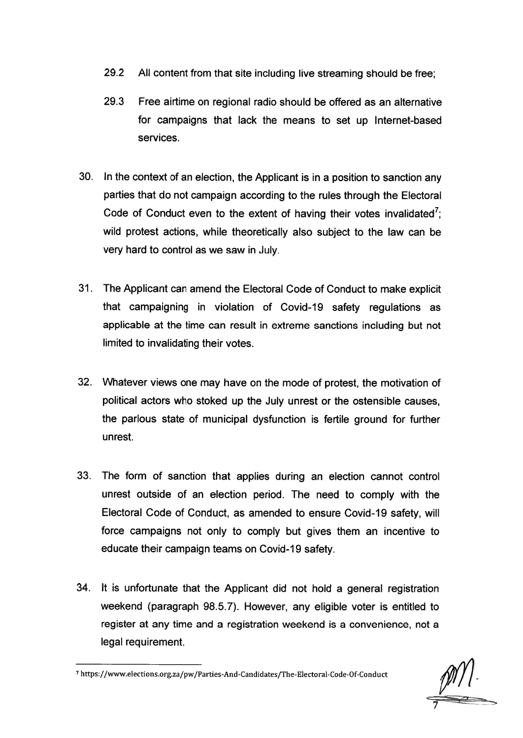- 29.2 All content from that site including live streaming should be free:
- 29.3 Free airtime on regional radio should be offered as an alternative for campaigns that lack the means to set up Internet-based services.
- 30. In the context of an election, the Applicant is in a position to sanction any parties that do not campaign according to the rules through the Electoral Code of Conduct even to the extent of having their votes invalidated<sup>7</sup>. wild protest actions, while theoretically also subject to the law can be very hard to control as we saw in July.
- 31. The Applicant can amend the Electoral Code of Conduct to make explicit that campaigning in violation of Covid-19 safety regulations as applicable at the time can result in extreme sanctions including but not limited to invalidating their votes.
- 32. Whatever views one may have on the mode of protest, the motivation of political actors who stoked up the July unrest or the ostensible causes. the parlous state of municipal dysfunction is fertile ground for further unrest.
- 33. The form of sanction that applies during an election cannot control unrest outside of an election period. The need to comply with the Electoral Code of Conduct, as amended to ensure Covid-19 safety, will force campaigns not only to comply but gives them an incentive to educate their campaign teams on Covid-19 safety.
- 34. It is unfortunate that the Applicant did not hold a general registration weekend (paragraph 98.5.7). However, any eligible voter is entitled to register at any time and a registration weekend is a convenience, not a legal requirement.

 $\mu$  | |  $\pm$ 

<sup>7</sup> https://www.elections.org.za/pw/Parties-And-Candidates/The-Electoral-Code-Of-Conduct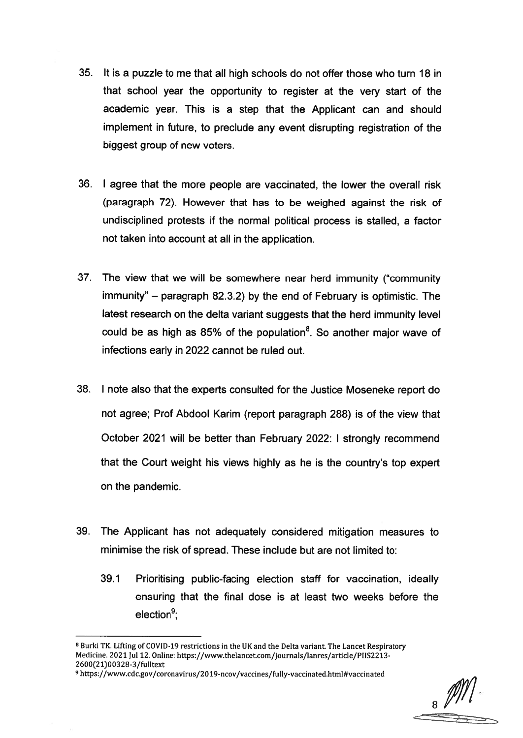- 35. It is a puzzle to me that all high schools do not offer those who turn 18 in that school year the opportunity to register at the very start of the academic year. This is a step that the Applicant can and should implement in future, to preclude any event disrupting registration of the biggest group of new voters.
- 36. I agree that the more people are vaccinated, the lower the overall risk (paragraph 72). However that has to be weighed against the risk of undisciplined protests if the normal political process is stalled, a factor not taken into account at all in the application.
- 37. The view that we will be somewhere near herd immunity ("community") immunity" – paragraph 82.3.2) by the end of February is optimistic. The latest research on the delta variant suggests that the herd immunity level could be as high as 85% of the population<sup>8</sup>. So another major wave of infections early in 2022 cannot be ruled out.
- 38. I note also that the experts consulted for the Justice Moseneke report do not agree; Prof Abdool Karim (report paragraph 288) is of the view that October 2021 will be better than February 2022: I strongly recommend that the Court weight his views highly as he is the country's top expert on the pandemic.
- 39. The Applicant has not adequately considered mitigation measures to minimise the risk of spread. These include but are not limited to:
	- 39.1 Prioritising public-facing election staff for vaccination, ideally ensuring that the final dose is at least two weeks before the  $e$ lection<sup>9</sup>:

 $\frac{1}{8}$ 

<sup>&</sup>lt;sup>8</sup> Burki TK. Lifting of COVID-19 restrictions in the UK and the Delta variant. The Lancet Respiratory Medicine. 2021 Jul 12. Online: https://www.thelancet.com/journals/lanres/article/PIIS2213-2600(21)00328-3/fulltext

<sup>9</sup> https://www.cdc.gov/coronavirus/2019-ncov/vaccines/fully-vaccinated.html#vaccinated